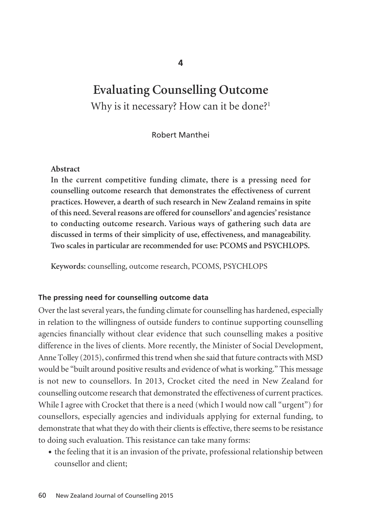# **Evaluating Counselling Outcome**  Why is it necessary? How can it be done?<sup>1</sup>

Robert Manthei

#### **Abstract**

**In the current competitive funding climate, there is a pressing need for counselling outcome research that demonstrates the effectiveness of current practices. However, a dearth of such research in New Zealand remains in spite of this need. Several reasons are offered for counsellors' and agencies' resistance to conducting outcome research. Various ways of gathering such data are discussed in terms of their simplicity of use, effectiveness, and manageability. Two scales in particular are recommended for use: PCOMS and PSYCHLOPS.**

**Keywords:** counselling, outcome research, PCOMS, PSYCHLOPS

#### **The pressing need for counselling outcome data**

Over the last several years, the funding climate for counselling has hardened, especially in relation to the willingness of outside funders to continue supporting counselling agencies financially without clear evidence that such counselling makes a positive difference in the lives of clients. More recently, the Minister of Social Development, Anne Tolley (2015), confirmed this trend when she said that future contracts with MSD would be "built around positive results and evidence of what is working." This message is not new to counsellors. In 2013, Crocket cited the need in New Zealand for counselling outcome research that demonstrated the effectiveness of current practices. While I agree with Crocket that there is a need (which I would now call "urgent") for counsellors, especially agencies and individuals applying for external funding, to demonstrate that what they do with their clients is effective, there seems to be resistance to doing such evaluation. This resistance can take many forms:

• the feeling that it is an invasion of the private, professional relationship between counsellor and client;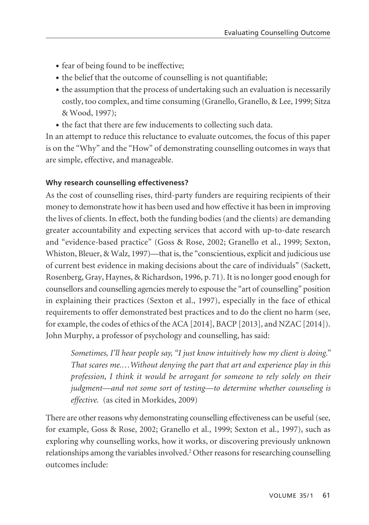- fear of being found to be ineffective;
- the belief that the outcome of counselling is not quantifiable;
- the assumption that the process of undertaking such an evaluation is necessarily costly, too complex, and time consuming (Granello, Granello, & Lee, 1999; Sitza & Wood, 1997);
- the fact that there are few inducements to collecting such data.

In an attempt to reduce this reluctance to evaluate outcomes, the focus of this paper is on the "Why" and the "How" of demonstrating counselling outcomes in ways that are simple, effective, and manageable.

#### **Why research counselling effectiveness?**

As the cost of counselling rises, third-party funders are requiring recipients of their money to demonstrate how it has been used and how effective it has been in improving the lives of clients. In effect, both the funding bodies (and the clients) are demanding greater accountability and expecting services that accord with up-to-date research and "evidence-based practice" (Goss & Rose, 2002; Granello et al., 1999; Sexton, Whiston, Bleuer, & Walz, 1997)—that is, the "conscientious, explicit and judicious use of current best evidence in making decisions about the care of individuals" (Sackett, Rosenberg, Gray, Haynes, & Richardson, 1996, p. 71). It is no longer good enough for counsellors and counselling agencies merely to espouse the "art of counselling" position in explaining their practices (Sexton et al., 1997), especially in the face of ethical requirements to offer demonstrated best practices and to do the client no harm (see, for example, the codes of ethics of the ACA [2014], BACP [2013], and NZAC [2014]). John Murphy, a professor of psychology and counselling, has said:

*Sometimes, I'll hear people say, "I just know intuitively how my client is doing." That scares me.…Without denying the part that art and experience play in this profession, I think it would be arrogant for someone to rely solely on their judgment—and not some sort of testing—to determine whether counseling is effective.* (as cited in Morkides, 2009)

There are other reasons why demonstrating counselling effectiveness can be useful (see, for example, Goss & Rose, 2002; Granello et al., 1999; Sexton et al., 1997), such as exploring why counselling works, how it works, or discovering previously unknown relationships among the variables involved.2 Other reasons for researching counselling outcomes include: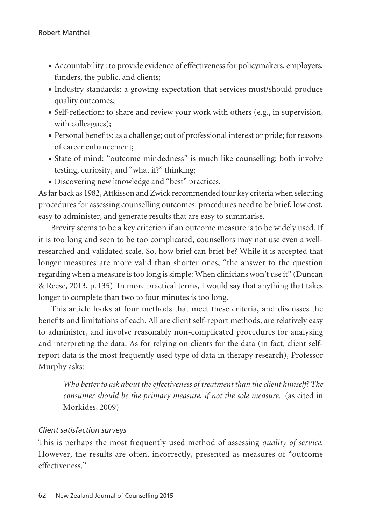- Accountability : to provide evidence of effectiveness for policymakers, employers, funders, the public, and clients;
- Industry standards: a growing expectation that services must/should produce quality outcomes;
- Self-reflection: to share and review your work with others (e.g., in supervision, with colleagues);
- Personal benefits: as a challenge; out of professional interest or pride; for reasons of career enhancement;
- State of mind: "outcome mindedness" is much like counselling: both involve testing, curiosity, and "what if?" thinking;
- Discovering new knowledge and "best" practices.

As far back as 1982, Attkisson and Zwick recommended four key criteria when selecting procedures for assessing counselling outcomes: procedures need to be brief, low cost, easy to administer, and generate results that are easy to summarise.

Brevity seems to be a key criterion if an outcome measure is to be widely used. If it is too long and seen to be too complicated, counsellors may not use even a wellresearched and validated scale. So, how brief can brief be? While it is accepted that longer measures are more valid than shorter ones, "the answer to the question regarding when a measure is too long is simple: When clinicians won't use it" (Duncan & Reese, 2013, p. 135). In more practical terms, I would say that anything that takes longer to complete than two to four minutes is too long.

This article looks at four methods that meet these criteria, and discusses the benefits and limitations of each. All are client self-report methods, are relatively easy to administer, and involve reasonably non-complicated procedures for analysing and interpreting the data. As for relying on clients for the data (in fact, client selfreport data is the most frequently used type of data in therapy research), Professor Murphy asks:

*Who better to ask about the effectiveness of treatment than the client himself? The consumer should be the primary measure, if not the sole measure.* (as cited in Morkides, 2009)

#### *Client satisfaction surveys*

This is perhaps the most frequently used method of assessing *quality of service*. However, the results are often, incorrectly, presented as measures of "outcome effectiveness."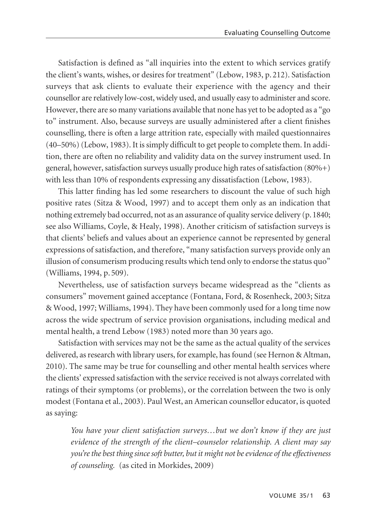Satisfaction is defined as "all inquiries into the extent to which services gratify the client's wants, wishes, or desires for treatment" (Lebow, 1983, p. 212). Satisfaction surveys that ask clients to evaluate their experience with the agency and their counsellor are relatively low-cost, widely used, and usually easy to administer and score. However, there are so many variations available that none has yet to be adopted as a "go to" instrument. Also, because surveys are usually administered after a client finishes counselling, there is often a large attrition rate, especially with mailed questionnaires (40–50%) (Lebow, 1983). It is simply difficult to get people to complete them. In addition, there are often no reliability and validity data on the survey instrument used. In general, however, satisfaction surveys usually produce high rates of satisfaction (80%+) with less than 10% of respondents expressing any dissatisfaction (Lebow, 1983).

This latter finding has led some researchers to discount the value of such high positive rates (Sitza & Wood, 1997) and to accept them only as an indication that nothing extremely bad occurred, not as an assurance of quality service delivery (p.1840; see also Williams, Coyle, & Healy, 1998). Another criticism of satisfaction surveys is that clients' beliefs and values about an experience cannot be represented by general expressions of satisfaction, and therefore, "many satisfaction surveys provide only an illusion of consumerism producing results which tend only to endorse the status quo" (Williams, 1994, p. 509).

Nevertheless, use of satisfaction surveys became widespread as the "clients as consumers" movement gained acceptance (Fontana, Ford, & Rosenheck, 2003; Sitza & Wood, 1997; Williams, 1994). They have been commonly used for a long time now across the wide spectrum of service provision organisations, including medical and mental health, a trend Lebow (1983) noted more than 30 years ago.

Satisfaction with services may not be the same as the actual quality of the services delivered, as research with library users, for example, has found (see Hernon & Altman, 2010). The same may be true for counselling and other mental health services where the clients' expressed satisfaction with the service received is not always correlated with ratings of their symptoms (or problems), or the correlation between the two is only modest (Fontana et al., 2003). Paul West, an American counsellor educator, is quoted as saying:

*You have your client satisfaction surveys…but we don't know if they are just evidence of the strength of the client–counselor relationship. A client may say you're the best thing since soft butter, but it might not be evidence of the effectiveness of counseling.* (as cited in Morkides, 2009)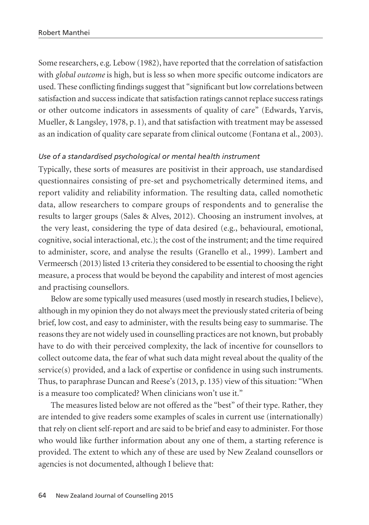Some researchers, e.g. Lebow (1982), have reported that the correlation of satisfaction with *global outcome* is high, but is less so when more specific outcome indicators are used. These conflicting findings suggest that "significant but low correlations between satisfaction and success indicate that satisfaction ratings cannot replace success ratings or other outcome indicators in assessments of quality of care" (Edwards, Yarvis, Mueller, & Langsley, 1978, p. 1), and that satisfaction with treatment may be assessed as an indication of quality care separate from clinical outcome (Fontana et al., 2003).

#### *Use of a standardised psychological or mental health instrument*

Typically, these sorts of measures are positivist in their approach, use standardised questionnaires consisting of pre-set and psychometrically determined items, and report validity and reliability information. The resulting data, called nomothetic data, allow researchers to compare groups of respondents and to generalise the results to larger groups (Sales & Alves, 2012). Choosing an instrument involves, at the very least, considering the type of data desired (e.g., behavioural, emotional, cognitive, social interactional, etc.); the cost of the instrument; and the time required to administer, score, and analyse the results (Granello et al., 1999). Lambert and Vermeersch (2013) listed 13 criteria they considered to be essential to choosing the right measure, a process that would be beyond the capability and interest of most agencies and practising counsellors.

Below are some typically used measures (used mostly in research studies, I believe), although in my opinion they do not always meet the previously stated criteria of being brief, low cost, and easy to administer, with the results being easy to summarise. The reasons they are not widely used in counselling practices are not known, but probably have to do with their perceived complexity, the lack of incentive for counsellors to collect outcome data, the fear of what such data might reveal about the quality of the  $s$ ervice $(s)$  provided, and a lack of expertise or confidence in using such instruments. Thus, to paraphrase Duncan and Reese's (2013, p. 135) view of this situation: "When is a measure too complicated? When clinicians won't use it."

The measures listed below are not offered as the "best" of their type. Rather, they are intended to give readers some examples of scales in current use (internationally) that rely on client self-report and are said to be brief and easy to administer. For those who would like further information about any one of them, a starting reference is provided. The extent to which any of these are used by New Zealand counsellors or agencies is not documented, although I believe that: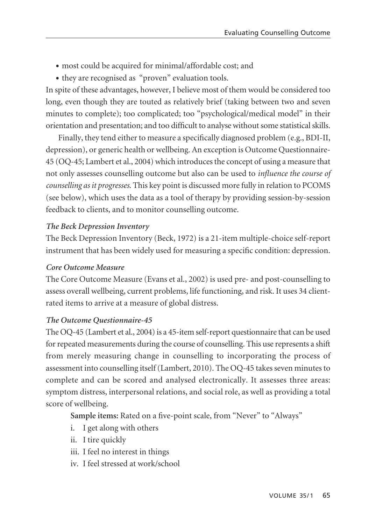- most could be acquired for minimal/affordable cost; and
- they are recognised as "proven" evaluation tools.

In spite of these advantages, however, I believe most of them would be considered too long, even though they are touted as relatively brief (taking between two and seven minutes to complete); too complicated; too "psychological/medical model" in their orientation and presentation; and too difficult to analyse without some statistical skills.

Finally, they tend either to measure a specifically diagnosed problem (e.g., BDI-II, depression), or generic health or wellbeing. An exception is Outcome Questionnaire-45 (OQ-45; Lambert et al., 2004) which introduces the concept of using a measure that not only assesses counselling outcome but also can be used to *influence the course of counselling as it progresses*. This key point is discussed more fully in relation to PCOMS (see below), which uses the data as a tool of therapy by providing session-by-session feedback to clients, and to monitor counselling outcome.

# *The Beck Depression Inventory*

The Beck Depression Inventory (Beck, 1972) is a 21-item multiple-choice self-report instrument that has been widely used for measuring a specific condition: depression.

## *Core Outcome Measure*

The Core Outcome Measure (Evans et al., 2002) is used pre- and post-counselling to assess overall wellbeing, current problems, life functioning, and risk. It uses 34 clientrated items to arrive at a measure of global distress.

# *The Outcome Questionnaire-45*

The OQ-45 (Lambert et al., 2004) is a 45-item self-report questionnaire that can be used for repeated measurements during the course of counselling. This use represents a shift from merely measuring change in counselling to incorporating the process of assessment into counselling itself (Lambert, 2010). The OQ-45 takes seven minutes to complete and can be scored and analysed electronically. It assesses three areas: symptom distress, interpersonal relations, and social role, as well as providing a total score of wellbeing.

**Sample items:** Rated on a five-point scale, from "Never" to "Always"

- i. I get along with others
- ii. I tire quickly
- iii. I feel no interest in things
- iv. I feel stressed at work/school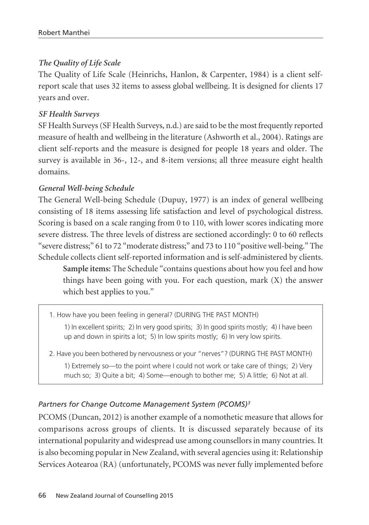## *The Quality of Life Scale*

The Quality of Life Scale (Heinrichs, Hanlon, & Carpenter, 1984) is a client selfreport scale that uses 32 items to assess global wellbeing. It is designed for clients 17 years and over.

### *SF Health Surveys*

SF Health Surveys (SF Health Surveys, n.d.) are said to be the most frequently reported measure of health and wellbeing in the literature (Ashworth et al., 2004). Ratings are client self-reports and the measure is designed for people 18 years and older. The survey is available in 36-, 12-, and 8-item versions; all three measure eight health domains.

#### *General Well-being Schedule*

The General Well-being Schedule (Dupuy, 1977) is an index of general wellbeing consisting of 18 items assessing life satisfaction and level of psychological distress. Scoring is based on a scale ranging from 0 to 110, with lower scores indicating more severe distress. The three levels of distress are sectioned accordingly: 0 to 60 reflects "severe distress;" 61 to 72 "moderate distress;" and 73 to 110 "positive well-being." The Schedule collects client self-reported information and is self-administered by clients.

**Sample items:** The Schedule "contains questions about how you feel and how things have been going with you. For each question, mark (X) the answer which best applies to you."

1. How have you been feeling in general? (DURING THE PAST MONTH) 1) In excellent spirits; 2) In very good spirits; 3) In good spirits mostly; 4) I have been up and down in spirits a lot; 5) In low spirits mostly; 6) In very low spirits.

2. Have you been bothered by nervousness or your "nerves"? (DURING THE PAST MONTH) 1) Extremely so—to the point where I could not work or take care of things; 2) Very much so; 3) Quite a bit; 4) Some—enough to bother me; 5) A little; 6) Not at all.

## *Partners for Change Outcome Management System (PCOMS)3*

PCOMS (Duncan, 2012) is another example of a nomothetic measure that allows for comparisons across groups of clients. It is discussed separately because of its international popularity and widespread use among counsellors in many countries. It is also becoming popular in New Zealand, with several agencies using it: Relationship Services Aotearoa (RA) (unfortunately, PCOMS was never fully implemented before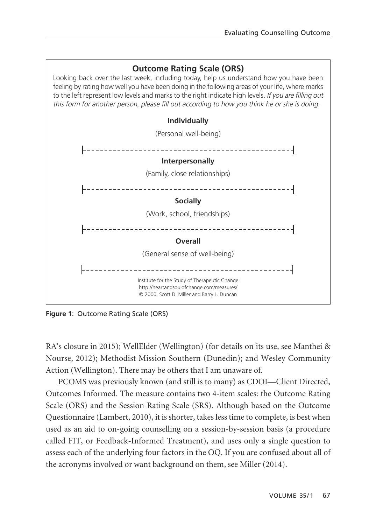

**Figure 1**: Outcome Rating Scale (ORS)

RA's closure in 2015); WellElder (Wellington) (for details on its use, see Manthei & Nourse, 2012); Methodist Mission Southern (Dunedin); and Wesley Community Action (Wellington). There may be others that I am unaware of.

PCOMS was previously known (and still is to many) as CDOI—Client Directed, Outcomes Informed. The measure contains two 4-item scales: the Outcome Rating Scale (ORS) and the Session Rating Scale (SRS). Although based on the Outcome Questionnaire (Lambert, 2010), it is shorter, takes less time to complete, is best when used as an aid to on-going counselling on a session-by-session basis (a procedure called FIT, or Feedback-Informed Treatment), and uses only a single question to assess each of the underlying four factors in the OQ. If you are confused about all of the acronyms involved or want background on them, see Miller (2014).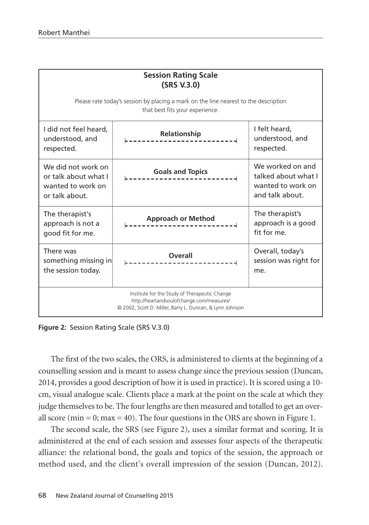| <b>Session Rating Scale</b><br>(SRS V.3.0)                                                                                                             |                                                           |                                                                                 |  |  |  |  |  |
|--------------------------------------------------------------------------------------------------------------------------------------------------------|-----------------------------------------------------------|---------------------------------------------------------------------------------|--|--|--|--|--|
| Please rate today's session by placing a mark on the line nearest to the description<br>that best fits your experience.                                |                                                           |                                                                                 |  |  |  |  |  |
| I did not feel heard,<br>understood, and<br>respected.                                                                                                 | <b>Relationship</b><br>-------                            | I felt heard,<br>understood, and<br>respected.                                  |  |  |  |  |  |
| We did not work on<br>or talk about what I<br>wanted to work on<br>or talk about.                                                                      | <b>Goals and Topics</b>                                   | We worked on and<br>talked about what I<br>wanted to work on<br>and talk about. |  |  |  |  |  |
| The therapist's<br>approach is not a<br>good fit for me.                                                                                               | <b>Approach or Method</b>                                 | The therapist's<br>approach is a good<br>fit for me.                            |  |  |  |  |  |
| There was<br>something missing in<br>the session today.                                                                                                | $\begin{array}{c} \textbf{Overall} \\ \hline \end{array}$ | Overall, today's<br>session was right for<br>me.                                |  |  |  |  |  |
| Institute for the Study of Therapeutic Change<br>http://heartandsoulofchange.com/measures/<br>© 2002, Scott D. Miller, Barry L. Duncan, & Lynn Johnson |                                                           |                                                                                 |  |  |  |  |  |

**Figure 2:** Session Rating Scale (SRS V.3.0)

The first of the two scales, the ORS, is administered to clients at the beginning of a counselling session and is meant to assess change since the previous session (Duncan, 2014, provides a good description of how it is used in practice). It is scored using a 10 cm, visual analogue scale. Clients place a mark at the point on the scale at which they judge themselves to be. The four lengths are then measured and totalled to get an overall score (min = 0; max = 40). The four questions in the ORS are shown in Figure 1.

The second scale, the SRS (see Figure 2), uses a similar format and scoring. It is administered at the end of each session and assesses four aspects of the therapeutic alliance: the relational bond, the goals and topics of the session, the approach or method used, and the client's overall impression of the session (Duncan, 2012).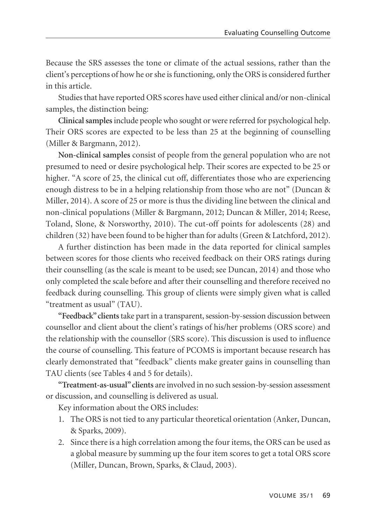Because the SRS assesses the tone or climate of the actual sessions, rather than the client's perceptions of how he or she is functioning, only the ORS is considered further in this article.

Studies that have reported ORS scores have used either clinical and/or non-clinical samples, the distinction being:

**Clinical samples**include people who sought or were referred for psychological help. Their ORS scores are expected to be less than 25 at the beginning of counselling (Miller & Bargmann, 2012).

**Non-clinical samples** consist of people from the general population who are not presumed to need or desire psychological help. Their scores are expected to be 25 or higher. "A score of 25, the clinical cut off, differentiates those who are experiencing enough distress to be in a helping relationship from those who are not" (Duncan & Miller, 2014). A score of 25 or more is thus the dividing line between the clinical and non-clinical populations (Miller & Bargmann, 2012; Duncan & Miller, 2014; Reese, Toland, Slone, & Norsworthy, 2010). The cut-off points for adolescents (28) and children (32) have been found to be higher than for adults (Green & Latchford, 2012).

A further distinction has been made in the data reported for clinical samples between scores for those clients who received feedback on their ORS ratings during their counselling (as the scale is meant to be used; see Duncan, 2014) and those who only completed the scale before and after their counselling and therefore received no feedback during counselling. This group of clients were simply given what is called "treatment as usual" (TAU).

**"Feedback" clients**take part in a transparent, session-by-session discussion between counsellor and client about the client's ratings of his/her problems (ORS score) and the relationship with the counsellor (SRS score). This discussion is used to influence the course of counselling. This feature of PCOMS is important because research has clearly demonstrated that "feedback" clients make greater gains in counselling than TAU clients (see Tables 4 and 5 for details).

**"Treatment-as-usual" clients** are involved in no such session-by-session assessment or discussion, and counselling is delivered as usual.

Key information about the ORS includes:

- 1. The ORS is not tied to any particular theoretical orientation (Anker, Duncan, & Sparks, 2009).
- 2. Since there is a high correlation among the four items, the ORS can be used as a global measure by summing up the four item scores to get a total ORS score (Miller, Duncan, Brown, Sparks, & Claud, 2003).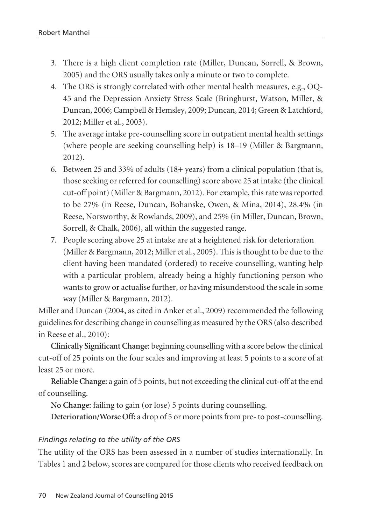- 3. There is a high client completion rate (Miller, Duncan, Sorrell, & Brown, 2005) and the ORS usually takes only a minute or two to complete.
- 4. The ORS is strongly correlated with other mental health measures, e.g., OQ-45 and the Depression Anxiety Stress Scale (Bringhurst, Watson, Miller, & Duncan, 2006; Campbell & Hemsley, 2009; Duncan, 2014; Green & Latchford, 2012; Miller et al., 2003).
- 5. The average intake pre-counselling score in outpatient mental health settings (where people are seeking counselling help) is 18–19 (Miller & Bargmann, 2012).
- 6. Between 25 and 33% of adults (18+ years) from a clinical population (that is, those seeking or referred for counselling) score above 25 at intake (the clinical cut-off point) (Miller & Bargmann, 2012). For example, this rate was reported to be 27% (in Reese, Duncan, Bohanske, Owen, & Mina, 2014), 28.4% (in Reese, Norsworthy, & Rowlands, 2009), and 25% (in Miller, Duncan, Brown, Sorrell, & Chalk, 2006), all within the suggested range.
- 7. People scoring above 25 at intake are at a heightened risk for deterioration (Miller & Bargmann, 2012; Miller et al., 2005). This is thought to be due to the client having been mandated (ordered) to receive counselling, wanting help with a particular problem, already being a highly functioning person who wants to grow or actualise further, or having misunderstood the scale in some way (Miller & Bargmann, 2012).

Miller and Duncan (2004, as cited in Anker et al., 2009) recommended the following guidelines for describing change in counselling as measured by the ORS (also described in Reese et al., 2010):

**Clinically Significant Change**: beginning counselling with a score below the clinical cut-off of 25 points on the four scales and improving at least 5 points to a score of at least 25 or more.

**Reliable Change:** a gain of 5 points, but not exceeding the clinical cut-off at the end of counselling.

**No Change:** failing to gain (or lose) 5 points during counselling.

**Deterioration/Worse Off:** a drop of 5 or more points from pre- to post-counselling.

#### *Findings relating to the utility of the ORS*

The utility of the ORS has been assessed in a number of studies internationally. In Tables 1 and 2 below, scores are compared for those clients who received feedback on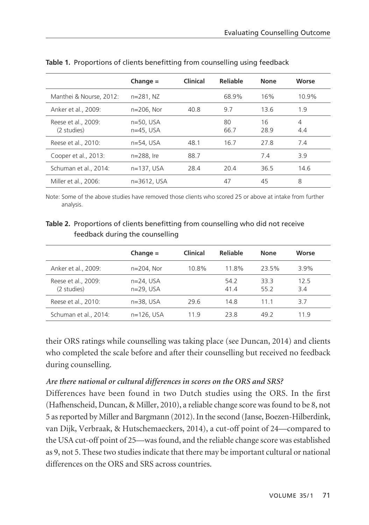|                                    | Change $=$                  | Clinical | Reliable   | None       | Worse    |
|------------------------------------|-----------------------------|----------|------------|------------|----------|
| Manthei & Nourse, 2012:            | $n = 281. NZ$               |          | 68.9%      | 16%        | 10.9%    |
| Anker et al., 2009:                | $n=206.$ Nor                | 40.8     | 9.7        | 13.6       | 1.9      |
| Reese et al., 2009:<br>(2 studies) | $n=50.$ USA<br>$n=45$ , USA |          | 80<br>66.7 | 16<br>28.9 | 4<br>4.4 |
| Reese et al., 2010:                | $n=54$ , USA                | 48.1     | 16.7       | 27.8       | 7.4      |
| Cooper et al., 2013:               | n=288, Ire                  | 88.7     |            | 7.4        | 3.9      |
| Schuman et al., 2014:              | $n=137.$ USA                | 28.4     | 20.4       | 36.5       | 14.6     |
| Miller et al., 2006:               | n=3612, USA                 |          | 47         | 45         | 8        |

**Table 1.** Proportions of clients benefitting from counselling using feedback

Note: Some of the above studies have removed those clients who scored 25 or above at intake from further analysis.

## **Table 2.** Proportions of clients benefitting from counselling who did not receive feedback during the counselling

|                                    | $Change =$                   | Clinical | Reliable     | <b>None</b>  | Worse       |
|------------------------------------|------------------------------|----------|--------------|--------------|-------------|
| Anker et al., 2009:                | $n=204$ . Nor                | 10.8%    | 11.8%        | 23.5%        | 3.9%        |
| Reese et al., 2009:<br>(2 studies) | $n=24$ , USA<br>$n=29$ , USA |          | 54.2<br>41.4 | 33.3<br>55.2 | 12.5<br>3.4 |
| Reese et al., 2010:                | $n=38.$ USA                  | 29.6     | 14.8         | 11 1         | 3.7         |
| Schuman et al., 2014:              | $n=126.$ USA                 | 11 Q     | 23.8         | 49.2         | 119         |

their ORS ratings while counselling was taking place (see Duncan, 2014) and clients who completed the scale before and after their counselling but received no feedback during counselling.

#### *Are there national or cultural differences in scores on the ORS and SRS?*

Differences have been found in two Dutch studies using the ORS. In the first (Hafhenscheid, Duncan, & Miller, 2010), a reliable change score was found to be 8, not 5 as reported by Miller and Bargmann (2012). In the second (Janse, Boezen-Hilberdink, van Dijk, Verbraak, & Hutschemaeckers, 2014), a cut-off point of 24—compared to the USA cut-off point of 25—was found, and the reliable change score was established as 9, not 5. These two studies indicate that there may be important cultural or national differences on the ORS and SRS across countries.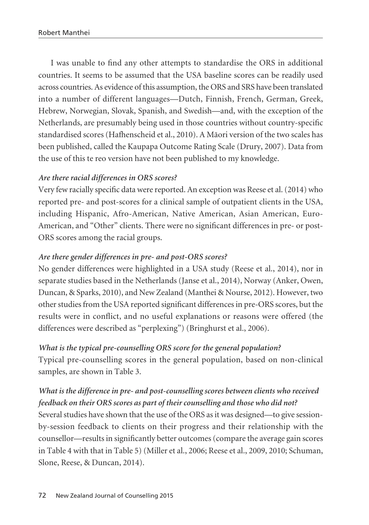I was unable to find any other attempts to standardise the ORS in additional countries. It seems to be assumed that the USA baseline scores can be readily used across countries. As evidence of this assumption, the ORS and SRS have been translated into a number of different languages—Dutch, Finnish, French, German, Greek, Hebrew, Norwegian, Slovak, Spanish, and Swedish—and, with the exception of the Netherlands, are presumably being used in those countries without country-specific standardised scores (Hafhenscheid et al., 2010). A Mäori version of the two scales has been published, called the Kaupapa Outcome Rating Scale (Drury, 2007). Data from the use of this te reo version have not been published to my knowledge.

## *Are there racial differences in ORS scores?*

Very few racially specific data were reported. An exception was Reese et al. (2014) who reported pre- and post-scores for a clinical sample of outpatient clients in the USA, including Hispanic, Afro-American, Native American, Asian American, Euro-American, and "Other" clients. There were no significant differences in pre- or post-ORS scores among the racial groups.

## *Are there gender differences in pre- and post-ORS scores?*

No gender differences were highlighted in a USA study (Reese et al., 2014), nor in separate studies based in the Netherlands (Janse et al., 2014), Norway (Anker, Owen, Duncan, & Sparks, 2010), and New Zealand (Manthei & Nourse, 2012). However, two other studies from the USA reported significant differences in pre-ORS scores, but the results were in conflict, and no useful explanations or reasons were offered (the differences were described as "perplexing") (Bringhurst et al., 2006).

## *What is the typical pre-counselling ORS score for the general population?*

Typical pre-counselling scores in the general population, based on non-clinical samples, are shown in Table 3.

# *What is the difference in pre- and post-counselling scores between clients who received feedback on their ORS scores as part of their counselling and those who did not?*

Several studies have shown that the use of the ORS as it was designed—to give sessionby-session feedback to clients on their progress and their relationship with the counsellor—results in significantly better outcomes (compare the average gain scores in Table 4 with that in Table 5) (Miller et al., 2006; Reese et al., 2009, 2010; Schuman, Slone, Reese, & Duncan, 2014).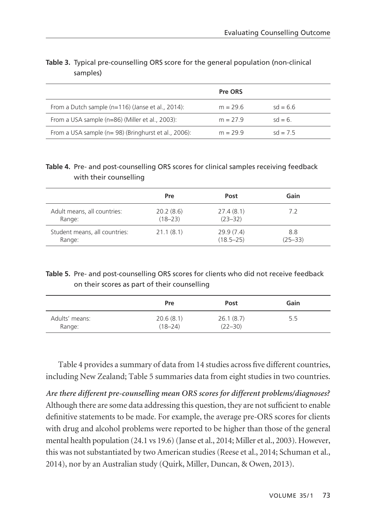|                                                      | Pre ORS    |            |
|------------------------------------------------------|------------|------------|
| From a Dutch sample (n=116) (Janse et al., 2014):    | $m = 29.6$ | $sd = 6.6$ |
| From a USA sample (n=86) (Miller et al., 2003):      | $m = 27.9$ | $sd = 6$   |
| From a USA sample (n= 98) (Bringhurst et al., 2006): | $m = 299$  | $sd = 75$  |

## **Table 3.** Typical pre-counselling ORS score for the general population (non-clinical samples)

### **Table 4.** Pre- and post-counselling ORS scores for clinical samples receiving feedback with their counselling

|                               | Pre         | Post          | Gain        |
|-------------------------------|-------------|---------------|-------------|
| Adult means, all countries:   | 20.2(8.6)   | 27.4(8.1)     | 7.2         |
| Range:                        | $(18 - 23)$ | $(23 - 32)$   |             |
| Student means, all countries: | 21.1(8.1)   | 29.9(7.4)     | 8.8         |
| Range:                        |             | $(18.5 - 25)$ | $(25 - 33)$ |

## **Table 5.** Pre- and post-counselling ORS scores for clients who did not receive feedback on their scores as part of their counselling

|                | Pre         | Post        | Gain |
|----------------|-------------|-------------|------|
| Adults' means: | 20.6(8.1)   | 26.1(8.7)   | 5.5  |
| Range:         | $(18 - 24)$ | $(22 - 30)$ |      |

Table 4 provides a summary of data from 14 studies across five different countries, including New Zealand; Table 5 summaries data from eight studies in two countries.

*Are there different pre-counselling mean ORS scores for different problems/diagnoses?*  Although there are some data addressing this question, they are not sufficient to enable definitive statements to be made. For example, the average pre-ORS scores for clients with drug and alcohol problems were reported to be higher than those of the general mental health population (24.1 vs 19.6) (Janse et al., 2014; Miller et al., 2003). However, this was not substantiated by two American studies (Reese et al., 2014; Schuman et al., 2014), nor by an Australian study (Quirk, Miller, Duncan, & Owen, 2013).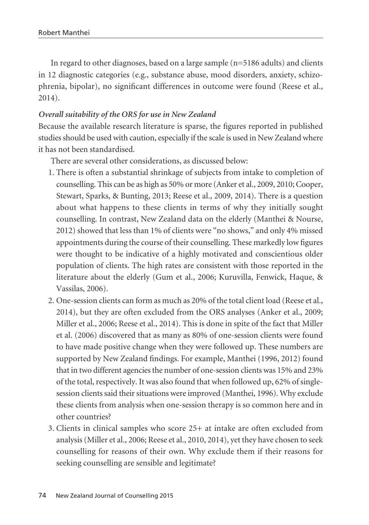In regard to other diagnoses, based on a large sample (n=5186 adults) and clients in 12 diagnostic categories (e.g., substance abuse, mood disorders, anxiety, schizo phrenia, bipolar), no significant differences in outcome were found (Reese et al., 2014).

#### *Overall suitability of the ORS for use in New Zealand*

Because the available research literature is sparse, the figures reported in published studies should be used with caution, especially if the scale is used in New Zealand where it has not been standardised.

There are several other considerations, as discussed below:

- 1. There is often a substantial shrinkage of subjects from intake to completion of counselling. This can be as high as 50% or more (Anker et al., 2009, 2010; Cooper, Stewart, Sparks, & Bunting, 2013; Reese et al., 2009, 2014). There is a question about what happens to these clients in terms of why they initially sought counselling. In contrast, New Zealand data on the elderly (Manthei & Nourse, 2012) showed that less than 1% of clients were "no shows," and only 4% missed appointments during the course of their counselling. These markedly low figures were thought to be indicative of a highly motivated and conscientious older population of clients. The high rates are consistent with those reported in the literature about the elderly (Gum et al., 2006; Kuruvilla, Fenwick, Haque, & Vassilas, 2006).
- 2. One-session clients can form as much as 20% of the total client load (Reese et al., 2014), but they are often excluded from the ORS analyses (Anker et al., 2009; Miller et al., 2006; Reese et al., 2014). This is done in spite of the fact that Miller et al. (2006) discovered that as many as 80% of one-session clients were found to have made positive change when they were followed up. These numbers are supported by New Zealand findings. For example, Manthei (1996, 2012) found that in two different agencies the number of one-session clients was 15% and 23% of the total, respectively. It was also found that when followed up, 62% of singlesession clients said their situations were improved (Manthei, 1996). Why exclude these clients from analysis when one-session therapy is so common here and in other countries?
- 3. Clients in clinical samples who score 25+ at intake are often excluded from analysis (Miller et al., 2006; Reese et al., 2010, 2014), yet they have chosen to seek counselling for reasons of their own. Why exclude them if their reasons for seeking counselling are sensible and legitimate?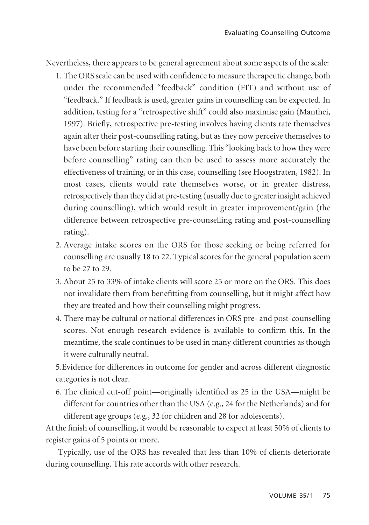Nevertheless, there appears to be general agreement about some aspects of the scale:

- 1. The ORS scale can be used with confidence to measure therapeutic change, both under the recommended "feedback" condition (FIT) and without use of "feedback." If feedback is used, greater gains in counselling can be expected. In addition, testing for a "retrospective shift" could also maximise gain (Manthei, 1997). Briefly, retrospective pre-testing involves having clients rate themselves again after their post-counselling rating, but as they now perceive themselves to have been before starting their counselling. This "looking back to how they were before counselling" rating can then be used to assess more accurately the effectiveness of training, or in this case, counselling (see Hoogstraten, 1982). In most cases, clients would rate themselves worse, or in greater distress, retrospectively than they did at pre-testing (usually due to greater insight achieved during counselling), which would result in greater improvement/gain (the difference between retrospective pre-counselling rating and post-counselling rating).
- 2. Average intake scores on the ORS for those seeking or being referred for counselling are usually 18 to 22. Typical scores for the general population seem to be 27 to 29.
- 3. About 25 to 33% of intake clients will score 25 or more on the ORS. This does not invalidate them from benefitting from counselling, but it might affect how they are treated and how their counselling might progress.
- 4. There may be cultural or national differences in ORS pre- and post-counselling scores. Not enough research evidence is available to confirm this. In the meantime, the scale continues to be used in many different countries as though it were culturally neutral.

5.Evidence for differences in outcome for gender and across different diagnostic categories is not clear.

6. The clinical cut-off point—originally identified as 25 in the USA—might be different for countries other than the USA (e.g., 24 for the Netherlands) and for different age groups (e.g., 32 for children and 28 for adolescents).

At the finish of counselling, it would be reasonable to expect at least 50% of clients to register gains of 5 points or more.

Typically, use of the ORS has revealed that less than 10% of clients deteriorate during counselling. This rate accords with other research.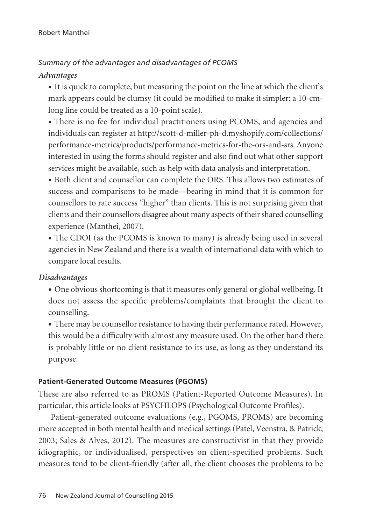# *Summary of the advantages and disadvantages of PCOMS Advantages*

• It is quick to complete, but measuring the point on the line at which the client's mark appears could be clumsy (it could be modified to make it simpler: a 10-cmlong line could be treated as a 10-point scale).

• There is no fee for individual practitioners using PCOMS, and agencies and individuals can register at http://scott-d-miller-ph-d.myshopify.com/collections/ performance-metrics/products/performance-metrics-for-the-ors-and-srs. Anyone interested in using the forms should register and also find out what other support services might be available, such as help with data analysis and interpretation.

• Both client and counsellor can complete the ORS. This allows two estimates of success and comparisons to be made—bearing in mind that it is common for counsellors to rate success "higher" than clients. This is not surprising given that clients and their counsellors disagree about many aspects of their shared counselling experience (Manthei, 2007).

• The CDOI (as the PCOMS is known to many) is already being used in several agencies in New Zealand and there is a wealth of international data with which to compare local results.

#### *Disadvantages*

• One obvious shortcoming is that it measures only general or global wellbeing. It does not assess the specific problems/complaints that brought the client to counselling.

• There may be counsellor resistance to having their performance rated. However, this would be a difficulty with almost any measure used. On the other hand there is probably little or no client resistance to its use, as long as they understand its purpose.

#### **Patient-Generated Outcome Measures (PGOMS)**

These are also referred to as PROMS (Patient-Reported Outcome Measures). In particular, this article looks at PSYCHLOPS (Psychological Outcome Profiles).

Patient-generated outcome evaluations (e.g., PGOMS, PROMS) are becoming more accepted in both mental health and medical settings (Patel, Veenstra, & Patrick, 2003; Sales & Alves, 2012). The measures are constructivist in that they provide idiographic, or individualised, perspectives on client-specified problems. Such measures tend to be client-friendly (after all, the client chooses the problems to be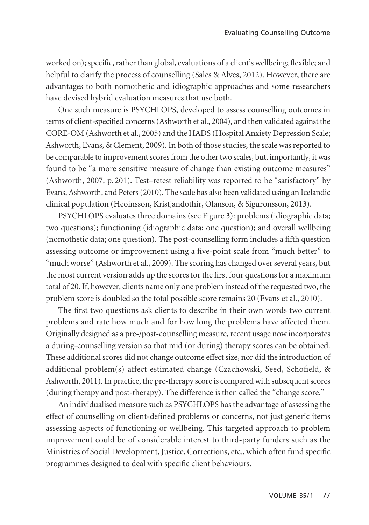worked on); specific, rather than global, evaluations of a client's wellbeing; flexible; and helpful to clarify the process of counselling (Sales & Alves, 2012). However, there are advantages to both nomothetic and idiographic approaches and some researchers have devised hybrid evaluation measures that use both.

One such measure is PSYCHLOPS, developed to assess counselling outcomes in terms of client-specified concerns (Ashworth et al., 2004), and then validated against the CORE-OM (Ashworth et al., 2005) and the HADS (Hospital Anxiety Depression Scale; Ashworth, Evans, & Clement, 2009). In both of those studies, the scale was reported to be comparable to improvement scores from the other two scales, but, importantly, it was found to be "a more sensitive measure of change than existing outcome measures" (Ashworth, 2007, p. 201). Test–retest reliability was reported to be "satisfactory" by Evans, Ashworth, and Peters (2010). The scale has also been validated using an Icelandic clinical population (Heoinsson, Kristjandothir, Olanson, & Siguronsson, 2013).

PSYCHLOPS evaluates three domains (see Figure 3): problems (idiographic data; two questions); functioning (idiographic data; one question); and overall wellbeing (nomothetic data; one question). The post-counselling form includes a fifth question assessing outcome or improvement using a five-point scale from "much better" to "much worse" (Ashworth et al., 2009). The scoring has changed over several years, but the most current version adds up the scores for the first four questions for a maximum total of 20. If, however, clients name only one problem instead of the requested two, the problem score is doubled so the total possible score remains 20 (Evans et al., 2010).

The first two questions ask clients to describe in their own words two current problems and rate how much and for how long the problems have affected them. Originally designed as a pre-/post-counselling measure, recent usage now incorporates a during-counselling version so that mid (or during) therapy scores can be obtained. These additional scores did not change outcome effect size, nor did the introduction of additional problem(s) affect estimated change (Czachowski, Seed, Schofield, & Ashworth, 2011). In practice, the pre-therapy score is compared with subsequent scores (during therapy and post-therapy). The difference is then called the "change score."

An individualised measure such as PSYCHLOPS has the advantage of assessing the effect of counselling on client-defined problems or concerns, not just generic items assessing aspects of functioning or wellbeing. This targeted approach to problem improvement could be of considerable interest to third-party funders such as the Ministries of Social Development, Justice, Corrections, etc., which often fund specific programmes designed to deal with specific client behaviours.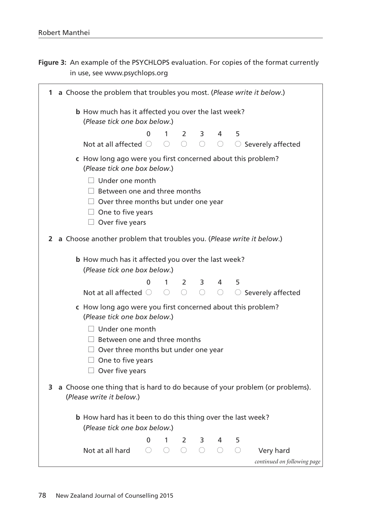**Figure 3:** An example of the PSYCHLOPS evaluation. For copies of the format currently in use, see www.psychlops.org

| 1 a Choose the problem that troubles you most. (Please write it below.)<br><b>b</b> How much has it affected you over the last week?<br>(Please tick one box below.)<br>0<br>5<br>$\mathbf{1}$<br>$\mathcal{P}$<br>3<br>4<br>Not at all affected $\bigcirc$ $\bigcirc$<br>$\bigcirc$<br>$\bigcirc$ .<br>○ Severely affected<br>c How long ago were you first concerned about this problem?<br>(Please tick one box below.)<br>$\Box$ Under one month<br>$\Box$ Between one and three months<br>$\Box$ Over three months but under one year<br>$\Box$ One to five years<br>$\Box$ Over five years<br>2 a Choose another problem that troubles you. (Please write it below.)<br><b>b</b> How much has it affected you over the last week?<br>(Please tick one box below.) |  |
|-------------------------------------------------------------------------------------------------------------------------------------------------------------------------------------------------------------------------------------------------------------------------------------------------------------------------------------------------------------------------------------------------------------------------------------------------------------------------------------------------------------------------------------------------------------------------------------------------------------------------------------------------------------------------------------------------------------------------------------------------------------------------|--|
|                                                                                                                                                                                                                                                                                                                                                                                                                                                                                                                                                                                                                                                                                                                                                                         |  |
|                                                                                                                                                                                                                                                                                                                                                                                                                                                                                                                                                                                                                                                                                                                                                                         |  |
|                                                                                                                                                                                                                                                                                                                                                                                                                                                                                                                                                                                                                                                                                                                                                                         |  |
|                                                                                                                                                                                                                                                                                                                                                                                                                                                                                                                                                                                                                                                                                                                                                                         |  |
|                                                                                                                                                                                                                                                                                                                                                                                                                                                                                                                                                                                                                                                                                                                                                                         |  |
|                                                                                                                                                                                                                                                                                                                                                                                                                                                                                                                                                                                                                                                                                                                                                                         |  |
|                                                                                                                                                                                                                                                                                                                                                                                                                                                                                                                                                                                                                                                                                                                                                                         |  |
|                                                                                                                                                                                                                                                                                                                                                                                                                                                                                                                                                                                                                                                                                                                                                                         |  |
|                                                                                                                                                                                                                                                                                                                                                                                                                                                                                                                                                                                                                                                                                                                                                                         |  |
|                                                                                                                                                                                                                                                                                                                                                                                                                                                                                                                                                                                                                                                                                                                                                                         |  |
|                                                                                                                                                                                                                                                                                                                                                                                                                                                                                                                                                                                                                                                                                                                                                                         |  |
|                                                                                                                                                                                                                                                                                                                                                                                                                                                                                                                                                                                                                                                                                                                                                                         |  |
| $1 \quad$                                                                                                                                                                                                                                                                                                                                                                                                                                                                                                                                                                                                                                                                                                                                                               |  |
| $\overline{2}$<br>5<br>0<br>4<br>3<br>$\bigcap$<br>Not at all affected $\bigcirc$<br>$\bigcirc$<br>$\bigcirc$<br>○ Severely affected                                                                                                                                                                                                                                                                                                                                                                                                                                                                                                                                                                                                                                    |  |
|                                                                                                                                                                                                                                                                                                                                                                                                                                                                                                                                                                                                                                                                                                                                                                         |  |
| c How long ago were you first concerned about this problem?<br>(Please tick one box below.)                                                                                                                                                                                                                                                                                                                                                                                                                                                                                                                                                                                                                                                                             |  |
| $\Box$ Under one month                                                                                                                                                                                                                                                                                                                                                                                                                                                                                                                                                                                                                                                                                                                                                  |  |
| $\Box$ Between one and three months                                                                                                                                                                                                                                                                                                                                                                                                                                                                                                                                                                                                                                                                                                                                     |  |
| $\Box$ Over three months but under one year                                                                                                                                                                                                                                                                                                                                                                                                                                                                                                                                                                                                                                                                                                                             |  |
| $\Box$ One to five years                                                                                                                                                                                                                                                                                                                                                                                                                                                                                                                                                                                                                                                                                                                                                |  |
| $\Box$ Over five years                                                                                                                                                                                                                                                                                                                                                                                                                                                                                                                                                                                                                                                                                                                                                  |  |
| 3 a Choose one thing that is hard to do because of your problem (or problems).<br>(Please write it below.)                                                                                                                                                                                                                                                                                                                                                                                                                                                                                                                                                                                                                                                              |  |
|                                                                                                                                                                                                                                                                                                                                                                                                                                                                                                                                                                                                                                                                                                                                                                         |  |
| <b>b</b> How hard has it been to do this thing over the last week?                                                                                                                                                                                                                                                                                                                                                                                                                                                                                                                                                                                                                                                                                                      |  |
| (Please tick one box below.)                                                                                                                                                                                                                                                                                                                                                                                                                                                                                                                                                                                                                                                                                                                                            |  |
| 2<br>5<br>0<br>1<br>3<br>4<br>0<br>∩<br>Not at all hard<br>∩<br>∩<br>O<br>∩                                                                                                                                                                                                                                                                                                                                                                                                                                                                                                                                                                                                                                                                                             |  |
| Very hard<br>continued on following page                                                                                                                                                                                                                                                                                                                                                                                                                                                                                                                                                                                                                                                                                                                                |  |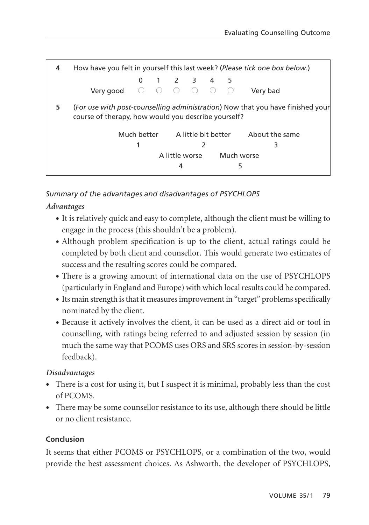| 4 | How have you felt in yourself this last week? (Please tick one box below.)                                                            |  |  |   |                |   |            |                                                |  |
|---|---------------------------------------------------------------------------------------------------------------------------------------|--|--|---|----------------|---|------------|------------------------------------------------|--|
|   |                                                                                                                                       |  |  |   | 0 1 2 3 4 5    |   |            |                                                |  |
|   | Very good $\bigcirc$ $\bigcirc$ $\bigcirc$ $\bigcirc$ $\bigcirc$ $\bigcirc$ $\bigcirc$                                                |  |  |   |                |   |            | Very bad                                       |  |
| 5 | (For use with post-counselling administration) Now that you have finished your<br>course of therapy, how would you describe yourself? |  |  |   |                |   |            |                                                |  |
|   |                                                                                                                                       |  |  |   |                |   |            | Much better A little bit better About the same |  |
|   |                                                                                                                                       |  |  |   |                | 2 |            | 3                                              |  |
|   |                                                                                                                                       |  |  |   | A little worse |   | Much worse |                                                |  |
|   |                                                                                                                                       |  |  | 4 |                |   | 5          |                                                |  |

# *Summary of the advantages and disadvantages of PSYCHLOPS*

# *Advantages*

- It is relatively quick and easy to complete, although the client must be willing to engage in the process (this shouldn't be a problem).
- Although problem specification is up to the client, actual ratings could be completed by both client and counsellor. This would generate two estimates of success and the resulting scores could be compared.
- There is a growing amount of international data on the use of PSYCHLOPS (particularly in England and Europe) with which local results could be compared.
- Its main strength is that it measures improvement in "target" problems specifically nominated by the client.
- Because it actively involves the client, it can be used as a direct aid or tool in counselling, with ratings being referred to and adjusted session by session (in much the same way that PCOMS uses ORS and SRS scores in session-by-session feedback).

## *Disadvantages*

- There is a cost for using it, but I suspect it is minimal, probably less than the cost of PCOMS.
- There may be some counsellor resistance to its use, although there should be little or no client resistance.

## **Conclusion**

It seems that either PCOMS or PSYCHLOPS, or a combination of the two, would provide the best assessment choices. As Ashworth, the developer of PSYCHLOPS,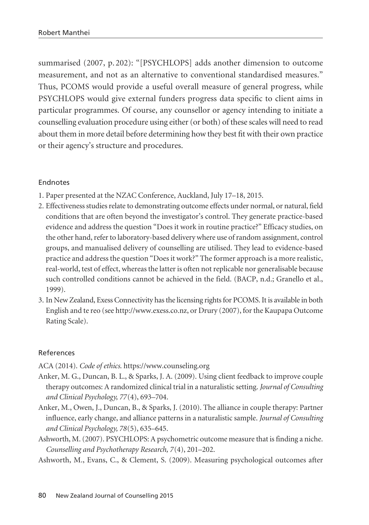summarised (2007, p. 202): "[PSYCHLOPS] adds another dimension to outcome measurement, and not as an alternative to conventional standardised measures." Thus, PCOMS would provide a useful overall measure of general progress, while PSYCHLOPS would give external funders progress data specific to client aims in particular programmes. Of course, any counsellor or agency intending to initiate a counselling evaluation procedure using either (or both) of these scales will need to read about them in more detail before determining how they best fit with their own practice or their agency's structure and procedures.

#### Endnotes

- 1. Paper presented at the NZAC Conference, Auckland, July 17–18, 2015.
- 2. Effectiveness studies relate to demonstrating outcome effects under normal, or natural, field conditions that are often beyond the investigator's control. They generate practice-based evidence and address the question "Does it work in routine practice?" Efficacy studies, on the other hand, refer to laboratory-based delivery where use of random assignment, control groups, and manualised delivery of counselling are utilised. They lead to evidence-based practice and address the question "Does it work?" The former approach is a more realistic, real-world, test of effect, whereas the latter is often not replicable nor generalisable because such controlled conditions cannot be achieved in the field. (BACP, n.d.; Granello et al., 1999).
- 3. In New Zealand, Exess Connectivity has the licensing rights for PCOMS. It is available in both English and te reo (see http://www.exess.co.nz, or Drury (2007), for the Kaupapa Outcome Rating Scale).

#### References

ACA (2014). *Code of ethics*. https://www.counseling.org

- Anker, M. G., Duncan, B. L., & Sparks, J. A. (2009). Using client feedback to improve couple therapy outcomes: A randomized clinical trial in a naturalistic setting. *Journal of Consulting and Clinical Psychology, 77*(4), 693–704.
- Anker, M., Owen, J., Duncan, B., & Sparks, J. (2010). The alliance in couple therapy: Partner influence, early change, and alliance patterns in a naturalistic sample. *Journal of Consulting and Clinical Psychology, 78*(5), 635–645.
- Ashworth, M. (2007). PSYCHLOPS: A psychometric outcome measure that is finding a niche. *Counselling and Psychotherapy Research, 7*(4), 201–202.

Ashworth, M., Evans, C., & Clement, S. (2009). Measuring psychological outcomes after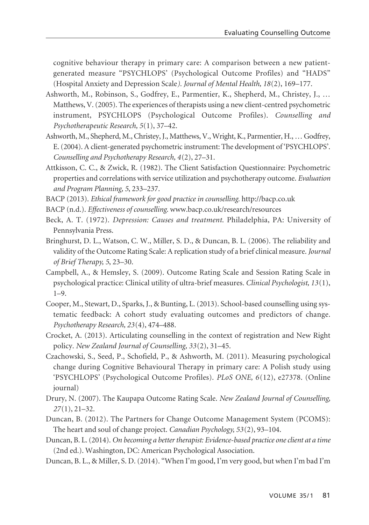cognitive behaviour therapy in primary care: A comparison between a new patientgenerated measure "PSYCHLOPS' (Psychological Outcome Profiles) and "HADS" (Hospital Anxiety and Depression Scale*). Journal of Mental Health, 18*(2), 169–177.

- Ashworth, M., Robinson, S., Godfrey, E., Parmentier, K., Shepherd, M., Christey, J., … Matthews, V. (2005). The experiences of therapists using a new client-centred psychometric instrument, PSYCHLOPS (Psychological Outcome Profiles). *Counselling and Psychotherapeutic Research, 5*(1), 37–42.
- Ashworth, M., Shepherd, M., Christey, J., Matthews, V., Wright, K., Parmentier, H., … Godfrey, E. (2004). A client-generated psychometric instrument: The development of 'PSYCHLOPS'. *Counselling and Psychotherapy Research, 4*(2), 27–31.
- Attkisson, C. C., & Zwick, R. (1982). The Client Satisfaction Questionnaire: Psychometric properties and correlations with service utilization and psychotherapy outcome. *Evaluation and Program Planning, 5*, 233–237.
- BACP (2013). *Ethical framework for good practice in counselling.* http://bacp.co.uk
- BACP (n.d.). *Effectiveness of counselling*. www.bacp.co.uk/research/resources
- Beck, A. T. (1972). *Depression: Causes and treatment*. Philadelphia, PA: University of Pennsylvania Press.
- Bringhurst, D. L., Watson, C. W., Miller, S. D., & Duncan, B. L. (2006). The reliability and validity of the Outcome Rating Scale: A replication study of a brief clinical measure. *Journal of Brief Therapy, 5*, 23–30.
- Campbell, A., & Hemsley, S. (2009). Outcome Rating Scale and Session Rating Scale in psychological practice: Clinical utility of ultra-brief measures*. Clinical Psychologist, 13*(1),  $1-9.$
- Cooper, M., Stewart, D., Sparks, J., & Bunting, L. (2013). School-based counselling using systematic feedback: A cohort study evaluating outcomes and predictors of change. *Psychotherapy Research, 23*(4), 474–488.
- Crocket, A. (2013). Articulating counselling in the context of registration and New Right policy. *New Zealand Journal of Counselling, 33*(2), 31–45.
- Czachowski, S., Seed, P., Schofield, P., & Ashworth, M. (2011). Measuring psychological change during Cognitive Behavioural Therapy in primary care: A Polish study using 'PSYCHLOPS' (Psychological Outcome Profiles). *PLoS ONE, 6*(12), e27378. (Online journal)
- Drury, N. (2007). The Kaupapa Outcome Rating Scale. *New Zealand Journal of Counselling, 27*(1), 21–32.
- Duncan, B. (2012). The Partners for Change Outcome Management System (PCOMS): The heart and soul of change project. *Canadian Psychology, 53*(2), 93–104.
- Duncan, B. L. (2014). *On becoming a better therapist: Evidence-based practice one client at a time* (2nd ed.). Washington, DC: American Psychological Association.
- Duncan, B. L., & Miller, S. D. (2014). "When I'm good, I'm very good, but when I'm bad I'm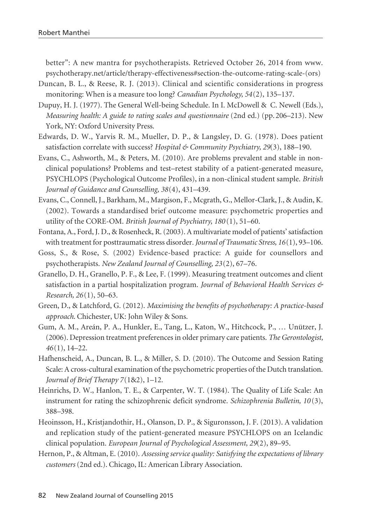better": A new mantra for psychotherapists. Retrieved October 26, 2014 from www. psychotherapy.net/article/therapy-effectiveness#section-the-outcome-rating-scale-(ors)

- Duncan, B. L., & Reese, R. J. (2013). Clinical and scientific considerations in progress monitoring: When is a measure too long? *Canadian Psychology, 54*(2), 135–137.
- Dupuy, H. J. (1977). The General Well-being Schedule. In I. McDowell & C. Newell (Eds.), *Measuring health: A guide to rating scales and questionnaire (2nd ed.) (pp. 206–213). New* York, NY: Oxford University Press.
- Edwards, D. W., Yarvis R. M., Mueller, D. P., & Langsley, D. G. (1978). Does patient satisfaction correlate with success? *Hospital & Community Psychiatry, 29*(3), 188–190.
- Evans, C., Ashworth, M., & Peters, M. (2010). Are problems prevalent and stable in nonclinical populations? Problems and test–retest stability of a patient-generated measure, PSYCHLOPS (Psychological Outcome Profiles), in a non-clinical student sample. *British Journal of Guidance and Counselling, 38*(4), 431–439.
- Evans, C., Connell, J., Barkham, M., Margison, F., Mcgrath, G., Mellor-Clark, J., & Audin, K. (2002). Towards a standardised brief outcome measure: psychometric properties and utility of the CORE-OM. *British Journal of Psychiatry, 180* (1), 51–60.
- Fontana, A., Ford, J. D., & Rosenheck, R. (2003). A multivariate model of patients' satisfaction with treatment for posttraumatic stress disorder*. Journal of Traumatic Stress, 16*(1), 93–106.
- Goss, S., & Rose, S. (2002) Evidence-based practice: A guide for counsellors and psychotherapists. *New Zealand Journal of Counselling, 23*(2), 67–76.
- Granello, D. H., Granello, P. F., & Lee, F. (1999). Measuring treatment outcomes and client satisfaction in a partial hospitalization program. *Journal of Behavioral Health Services & Research, 26*(1), 50–63.
- Green, D., & Latchford, G. (2012). *Maximising the benefits of psychotherapy: A practice-based approach*. Chichester, UK: John Wiley & Sons.
- Gum, A. M., Areán, P. A., Hunkler, E., Tang, L., Katon, W., Hitchcock, P., … Unützer, J. (2006). Depression treatment preferences in older primary care patients. *The Gerontologist, 46*(1), 14–22.
- Hafhenscheid, A., Duncan, B. L., & Miller, S. D. (2010). The Outcome and Session Rating Scale: A cross-cultural examination of the psychometric properties of the Dutch translation. *Journal of Brief Therapy 7*(1&2), 1–12.
- Heinrichs, D. W., Hanlon, T. E., & Carpenter, W. T. (1984). The Quality of Life Scale: An instrument for rating the schizophrenic deficit syndrome. *Schizophrenia Bulletin*, 10(3), 388–398.
- Heoinsson, H., Kristjandothir, H., Olanson, D. P., & Siguronsson, J. F. (2013). A validation and replication study of the patient-generated measure PSYCHLOPS on an Icelandic clinical population. *European Journal of Psychological Assessment, 29*(2), 89–95.
- Hernon, P., & Altman, E. (2010). *Assessing service quality: Satisfying the expectations of library customers* (2nd ed.). Chicago, IL: American Library Association.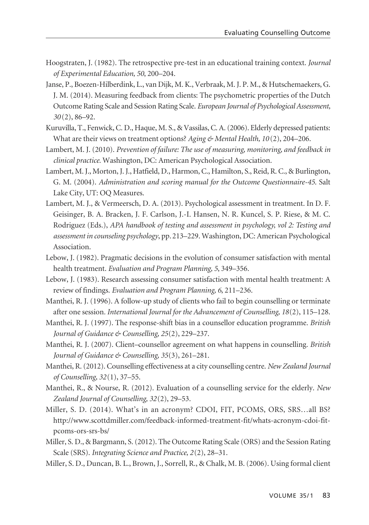- Hoogstraten, J. (1982). The retrospective pre-test in an educational training context. *Journal of Experimental Education, 50*, 200–204.
- Janse, P., Boezen-Hilberdink, L., van Dijk, M. K., Verbraak, M. J. P. M., & Hutschemaekers, G. J. M. (2014). Measuring feedback from clients: The psychometric properties of the Dutch Outcome Rating Scale and Session Rating Scale. *European Journal of Psychological Assessment, 30* (2), 86–92.
- Kuruvilla, T., Fenwick, C. D., Haque, M. S., & Vassilas, C. A. (2006). Elderly depressed patients: What are their views on treatment options? *Aging & Mental Health, 10* (2), 204–206.
- Lambert, M. J. (2010). *Prevention of failure: The use of measuring, monitoring, and feedback in clinical practice.* Washington, DC: American Psychological Association.
- Lambert, M. J., Morton, J. J., Hatfield, D., Harmon, C., Hamilton, S., Reid, R. C., & Burlington, G. M. (2004). *Administration and scoring manual for the Outcome Questionnaire-45*. Salt Lake City, UT: OQ Measures.
- Lambert, M. J., & Vermeersch, D. A. (2013). Psychological assessment in treatment. In D. F. Geisinger, B. A. Bracken, J. F. Carlson, J.-I. Hansen, N. R. Kuncel, S. P. Riese, & M. C. Rodriguez (Eds.), *APA handbook of testing and assessment in psychology, vol 2: Testing and assessment in counseling psychology*, pp. 213–229. Washington, DC: American Psychological Association.
- Lebow, J. (1982). Pragmatic decisions in the evolution of consumer satisfaction with mental health treatment. *Evaluation and Program Planning, 5*, 349–356.
- Lebow, J. (1983). Research assessing consumer satisfaction with mental health treatment: A review of findings. *Evaluation and Program Planning, 6*, 211–236.
- Manthei, R. J. (1996). A follow-up study of clients who fail to begin counselling or terminate after one session*. International Journal for the Advancement of Counselling, 18*(2), 115–128.
- Manthei, R. J. (1997). The response-shift bias in a counsellor education programme. *British Journal of Guidance & Counselling, 25*(2), 229–237.
- Manthei, R. J. (2007). Client–counsellor agreement on what happens in counselling. *British Journal of Guidance & Counselling, 35*(3), 261–281.
- Manthei, R. (2012). Counselling effectiveness at a city counselling centre. *New Zealand Journal of Counselling, 32*(1), 37–55.
- Manthei, R., & Nourse, R. (2012). Evaluation of a counselling service for the elderly. *New Zealand Journal of Counselling, 32*(2), 29–53.
- Miller, S. D. (2014). What's in an acronym? CDOI, FIT, PCOMS, ORS, SRS…all BS? http://www.scottdmiller.com/feedback-informed-treatment-fit/whats-acronym-cdoi-fitpcoms-ors-srs-bs/
- Miller, S. D., & Bargmann, S. (2012). The Outcome Rating Scale (ORS) and the Session Rating Scale (SRS). *Integrating Science and Practice, 2*(2), 28–31.
- Miller, S. D., Duncan, B. L., Brown, J., Sorrell, R., & Chalk, M. B. (2006). Using formal client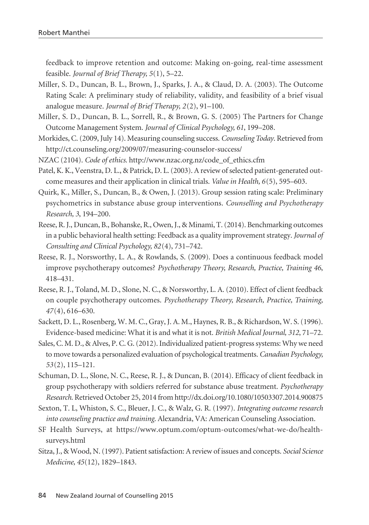feedback to improve retention and outcome: Making on-going, real-time assessment feasible. *Journal of Brief Therapy, 5*(1), 5–22.

- Miller, S. D., Duncan, B. L., Brown, J., Sparks, J. A., & Claud, D. A. (2003). The Outcome Rating Scale: A preliminary study of reliability, validity, and feasibility of a brief visual analogue measure. *Journal of Brief Therapy, 2*(2), 91–100.
- Miller, S. D., Duncan, B. L., Sorrell, R., & Brown, G. S. (2005) The Partners for Change Outcome Management System. *Journal of Clinical Psychology, 61*, 199–208.
- Morkides, C. (2009, July 14). Measuring counseling success. *Counseling Today*. Retrieved from http://ct.counseling.org/2009/07/measuring-counselor-success/
- NZAC (2104). *Code of ethics*. http://www.nzac.org.nz/code\_of\_ethics.cfm
- Patel, K. K., Veenstra, D. L., & Patrick, D. L. (2003). A review of selected patient-generated outcome measures and their application in clinical trials. *Value in Health, 6*(5), 595–603.
- Quirk, K., Miller, S., Duncan, B., & Owen, J. (2013). Group session rating scale: Preliminary psychometrics in substance abuse group interventions. *Counselling and Psychotherapy Research, 3*, 194–200.
- Reese, R. J., Duncan, B., Bohanske, R., Owen, J., & Minami, T. (2014). Benchmarking outcomes in a public behavioral health setting: Feedback as a quality improvement strategy. *Journal of Consulting and Clinical Psychology, 82*(4), 731–742.
- Reese, R. J., Norsworthy, L. A., & Rowlands, S. (2009). Does a continuous feedback model improve psychotherapy outcomes? *Psychotherapy Theory, Research, Practice, Training 46*, 418–431.
- Reese, R. J., Toland, M. D., Slone, N. C., & Norsworthy, L. A. (2010). Effect of client feedback on couple psychotherapy outcomes. *Psychotherapy Theory, Research, Practice, Training, 47*(4), 616–630.
- Sackett, D. L., Rosenberg, W. M. C., Gray, J. A. M., Haynes, R. B., & Richardson, W. S. (1996). Evidence-based medicine: What it is and what it is not. *British Medical Journal, 312*, 71–72.
- Sales, C. M. D., & Alves, P. C. G. (2012). Individualized patient-progress systems: Why we need to move towards a personalized evaluation of psychological treatments. *Canadian Psychology, 53*(2), 115–121.
- Schuman, D. L., Slone, N. C., Reese, R. J., & Duncan, B. (2014). Efficacy of client feedback in group psychotherapy with soldiers referred for substance abuse treatment. *Psychotherapy Research*. Retrieved October 25, 2014 from http://dx.doi.org/10.1080/10503307.2014.900875
- Sexton, T. L, Whiston, S. C., Bleuer, J. C., & Walz, G. R. (1997). *Integrating outcome research into counseling practice and training*. Alexandria, VA: American Counseling Association.
- SF Health Surveys, at https://www.optum.com/optum-outcomes/what-we-do/healthsurveys.html
- Sitza, J., & Wood, N. (1997). Patient satisfaction: A review of issues and concepts. *Social Science Medicine, 45*(12), 1829–1843.